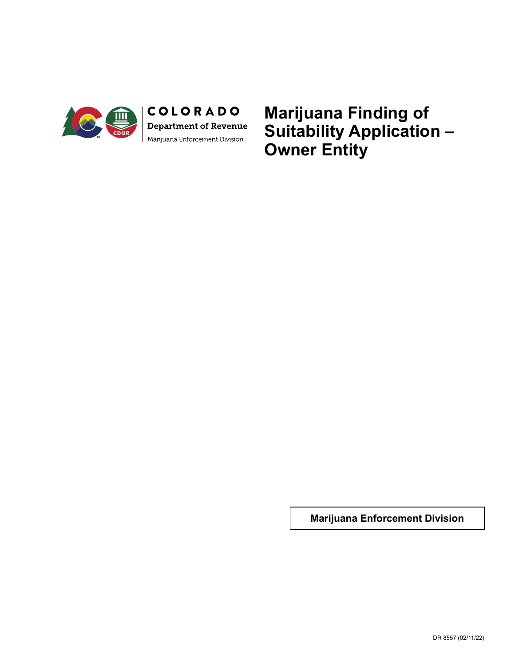

COLORADO Department of Revenue Marijuana Enforcement Division

**Marijuana Finding of Suitability Application – Owner Entity**

**Marijuana Enforcement Division**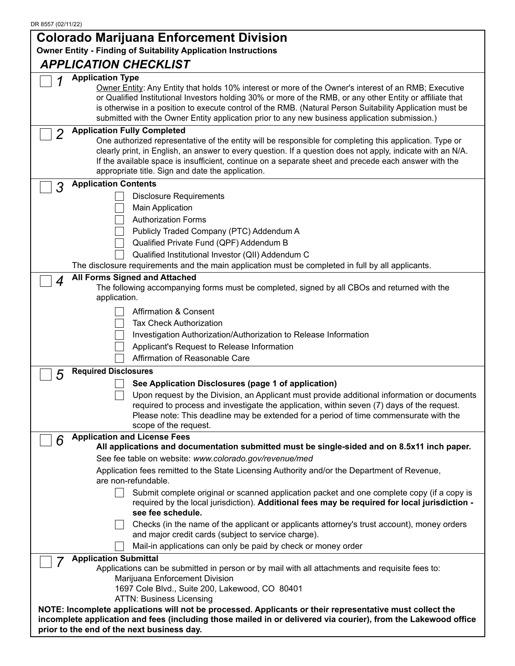#### DR 8557 (02/11/22) **Colorado Marijuana Enforcement Division Owner Entity - Finding of Suitability Application Instructions** *APPLICATION CHECKLIST 1* **Application Type** Owner Entity: Any Entity that holds 10% interest or more of the Owner's interest of an RMB; Executive or Qualified Institutional Investors holding 30% or more of the RMB, or any other Entity or affiliate that is otherwise in a position to execute control of the RMB. (Natural Person Suitability Application must be submitted with the Owner Entity application prior to any new business application submission.) *2* **Application Fully Completed** One authorized representative of the entity will be responsible for completing this application. Type or clearly print, in English, an answer to every question. If a question does not apply, indicate with an N/A. If the available space is insufficient, continue on a separate sheet and precede each answer with the appropriate title. Sign and date the application. *3* **Application Contents** Disclosure Requirements Main Application Authorization Forms Publicly Traded Company (PTC) Addendum A Qualified Private Fund (QPF) Addendum B  $\Box$  Qualified Institutional Investor (QII) Addendum C The disclosure requirements and the main application must be completed in full by all applicants. *4* **All Forms Signed and Attached** The following accompanying forms must be completed, signed by all CBOs and returned with the application. Affirmation & Consent Tax Check Authorization Investigation Authorization/Authorization to Release Information Applicant's Request to Release Information Affirmation of Reasonable Care *5* **Required Disclosures See Application Disclosures (page 1 of application)**

|   | See Application Disclosures (page 1 of application)                                                                                                                                                                                                                                |
|---|------------------------------------------------------------------------------------------------------------------------------------------------------------------------------------------------------------------------------------------------------------------------------------|
|   | Upon request by the Division, an Applicant must provide additional information or documents<br>required to process and investigate the application, within seven (7) days of the request.<br>Please note: This deadline may be extended for a period of time commensurate with the |
|   | scope of the request.                                                                                                                                                                                                                                                              |
| 6 | <b>Application and License Fees</b>                                                                                                                                                                                                                                                |
|   | All applications and documentation submitted must be single-sided and on 8.5x11 inch paper.                                                                                                                                                                                        |
|   | See fee table on website: www.colorado.gov/revenue/med                                                                                                                                                                                                                             |
|   | Application fees remitted to the State Licensing Authority and/or the Department of Revenue,<br>are non-refundable.                                                                                                                                                                |
|   | Submit complete original or scanned application packet and one complete copy (if a copy is<br>required by the local jurisdiction). Additional fees may be required for local jurisdiction -<br>see fee schedule.                                                                   |
|   | Checks (in the name of the applicant or applicants attorney's trust account), money orders<br>and major credit cards (subject to service charge).                                                                                                                                  |
|   | Mail-in applications can only be paid by check or money order                                                                                                                                                                                                                      |
|   | <b>Application Submittal</b>                                                                                                                                                                                                                                                       |
|   | Applications can be submitted in person or by mail with all attachments and requisite fees to:                                                                                                                                                                                     |
|   | Marijuana Enforcement Division                                                                                                                                                                                                                                                     |
|   | 1697 Cole Blvd., Suite 200, Lakewood, CO 80401                                                                                                                                                                                                                                     |
|   | <b>ATTN: Business Licensing</b>                                                                                                                                                                                                                                                    |
|   | NOTE: Incomplete applications will not be processed. Applicants or their representative must collect the<br>incomplete application and fees (including those mailed in or delivered via courier), from the Lakewood office                                                         |

**prior to the end of the next business day.**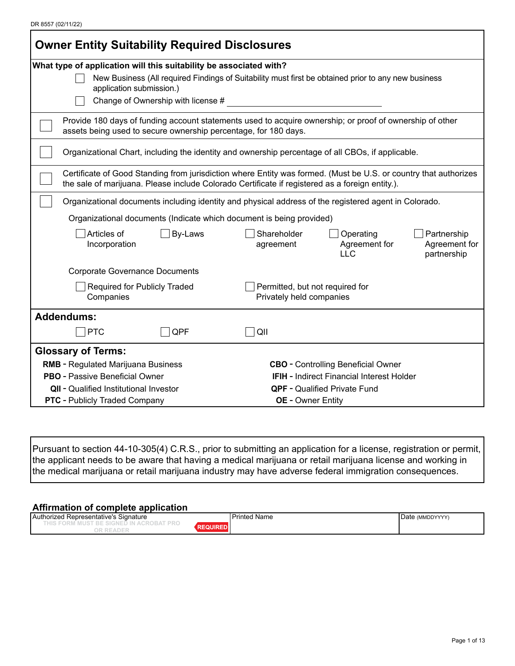| DR 8557 (02/11/22) |  |
|--------------------|--|
|--------------------|--|

| <b>Owner Entity Suitability Required Disclosures</b>                                                                                                                                                                |                                                                                                                     |  |  |  |  |
|---------------------------------------------------------------------------------------------------------------------------------------------------------------------------------------------------------------------|---------------------------------------------------------------------------------------------------------------------|--|--|--|--|
| What type of application will this suitability be associated with?                                                                                                                                                  |                                                                                                                     |  |  |  |  |
| application submission.)                                                                                                                                                                                            | New Business (All required Findings of Suitability must first be obtained prior to any new business                 |  |  |  |  |
| Change of Ownership with license #                                                                                                                                                                                  |                                                                                                                     |  |  |  |  |
| assets being used to secure ownership percentage, for 180 days.                                                                                                                                                     | Provide 180 days of funding account statements used to acquire ownership; or proof of ownership of other            |  |  |  |  |
|                                                                                                                                                                                                                     | Organizational Chart, including the identity and ownership percentage of all CBOs, if applicable.                   |  |  |  |  |
| Certificate of Good Standing from jurisdiction where Entity was formed. (Must be U.S. or country that authorizes<br>the sale of marijuana. Please include Colorado Certificate if registered as a foreign entity.). |                                                                                                                     |  |  |  |  |
| Organizational documents including identity and physical address of the registered agent in Colorado.                                                                                                               |                                                                                                                     |  |  |  |  |
| Organizational documents (Indicate which document is being provided)                                                                                                                                                |                                                                                                                     |  |  |  |  |
| Articles of<br>By-Laws<br>Incorporation                                                                                                                                                                             | Shareholder<br>Operating<br>Partnership<br>Agreement for<br>Agreement for<br>agreement<br><b>LLC</b><br>partnership |  |  |  |  |
| <b>Corporate Governance Documents</b>                                                                                                                                                                               |                                                                                                                     |  |  |  |  |
| <b>Required for Publicly Traded</b><br>Companies                                                                                                                                                                    | Permitted, but not required for<br>Privately held companies                                                         |  |  |  |  |
| <b>Addendums:</b>                                                                                                                                                                                                   |                                                                                                                     |  |  |  |  |
| QPF<br><b>PTC</b>                                                                                                                                                                                                   | QII                                                                                                                 |  |  |  |  |
| <b>Glossary of Terms:</b>                                                                                                                                                                                           |                                                                                                                     |  |  |  |  |
| <b>RMB</b> - Regulated Marijuana Business                                                                                                                                                                           | <b>CBO</b> - Controlling Beneficial Owner                                                                           |  |  |  |  |
| <b>PBO</b> - Passive Beneficial Owner                                                                                                                                                                               | <b>IFIH</b> - Indirect Financial Interest Holder                                                                    |  |  |  |  |
| <b>QII</b> - Qualified Institutional Investor<br><b>QPF</b> - Qualified Private Fund                                                                                                                                |                                                                                                                     |  |  |  |  |
| <b>PTC</b> - Publicly Traded Company<br><b>OE</b> - Owner Entity                                                                                                                                                    |                                                                                                                     |  |  |  |  |

Pursuant to section 44-10-305(4) C.R.S., prior to submitting an application for a license, registration or permit, the applicant needs to be aware that having a medical marijuana or retail marijuana license and working in the medical marijuana or retail marijuana industry may have adverse federal immigration consequences.

#### **Affirmation of complete application**

| <b>Auth</b><br>' Representative's<br>Signature<br>horized | Printed L<br>l Name<br>$\sim$ $\sim$ $\sim$ $\sim$ $\sim$ | Date (MMDDYYYY) |
|-----------------------------------------------------------|-----------------------------------------------------------|-----------------|
| .<br>$\sim$<br>_____                                      |                                                           |                 |
| ' R⊢∆.<br>س ر                                             |                                                           |                 |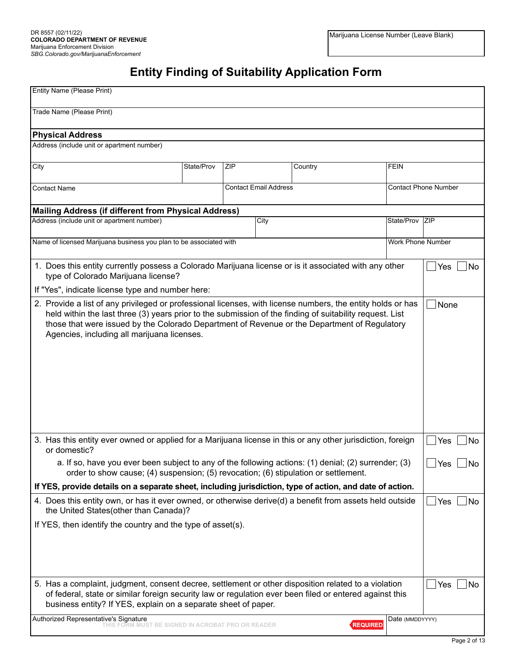# **Entity Finding of Suitability Application Form**

| Entity Name (Please Print)                                                                                                                                                                                                                              |            |     |                              |         |                 |                             |              |
|---------------------------------------------------------------------------------------------------------------------------------------------------------------------------------------------------------------------------------------------------------|------------|-----|------------------------------|---------|-----------------|-----------------------------|--------------|
| Trade Name (Please Print)                                                                                                                                                                                                                               |            |     |                              |         |                 |                             |              |
| <b>Physical Address</b>                                                                                                                                                                                                                                 |            |     |                              |         |                 |                             |              |
| Address (include unit or apartment number)                                                                                                                                                                                                              |            |     |                              |         |                 |                             |              |
|                                                                                                                                                                                                                                                         |            |     |                              |         |                 |                             |              |
| City                                                                                                                                                                                                                                                    | State/Prov | ZIP |                              | Country |                 | <b>FEIN</b>                 |              |
| <b>Contact Name</b>                                                                                                                                                                                                                                     |            |     | <b>Contact Email Address</b> |         |                 | <b>Contact Phone Number</b> |              |
| <b>Mailing Address (if different from Physical Address)</b>                                                                                                                                                                                             |            |     |                              |         |                 |                             |              |
| Address (include unit or apartment number)                                                                                                                                                                                                              |            |     | City                         |         |                 | State/Prov ZIP              |              |
| Name of licensed Marijuana business you plan to be associated with                                                                                                                                                                                      |            |     |                              |         |                 | Work Phone Number           |              |
| 1. Does this entity currently possess a Colorado Marijuana license or is it associated with any other<br>type of Colorado Marijuana license?                                                                                                            |            |     |                              |         |                 |                             | Yes<br>No    |
| If "Yes", indicate license type and number here:                                                                                                                                                                                                        |            |     |                              |         |                 |                             |              |
| held within the last three (3) years prior to the submission of the finding of suitability request. List<br>those that were issued by the Colorado Department of Revenue or the Department of Regulatory<br>Agencies, including all marijuana licenses. |            |     |                              |         |                 |                             |              |
| 3. Has this entity ever owned or applied for a Marijuana license in this or any other jurisdiction, foreign<br>or domestic?                                                                                                                             |            |     |                              |         |                 |                             | Yes<br>No.   |
| a. If so, have you ever been subject to any of the following actions: (1) denial; (2) surrender; (3)<br>order to show cause; (4) suspension; (5) revocation; (6) stipulation or settlement.                                                             |            |     |                              |         |                 |                             | ∫Yes<br>_∣No |
| If YES, provide details on a separate sheet, including jurisdiction, type of action, and date of action.                                                                                                                                                |            |     |                              |         |                 |                             |              |
| 4. Does this entity own, or has it ever owned, or otherwise derive(d) a benefit from assets held outside<br>the United States(other than Canada)?                                                                                                       |            |     |                              |         |                 |                             | Yes<br>No    |
| If YES, then identify the country and the type of asset(s).                                                                                                                                                                                             |            |     |                              |         |                 |                             |              |
| 5. Has a complaint, judgment, consent decree, settlement or other disposition related to a violation                                                                                                                                                    |            |     |                              |         |                 |                             | Yes<br>No    |
| of federal, state or similar foreign security law or regulation ever been filed or entered against this<br>business entity? If YES, explain on a separate sheet of paper.                                                                               |            |     |                              |         |                 |                             |              |
| Authorized Representative's Signature<br>THIS FORM MUST BE SIGNED IN ACROBAT PRO OR READER                                                                                                                                                              |            |     |                              |         | <b>REQUIRED</b> | Date (MMDDYYYY)             |              |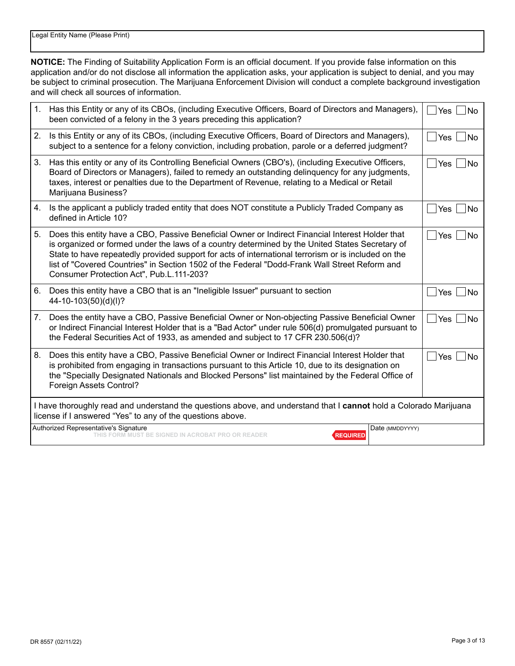**NOTICE:** The Finding of Suitability Application Form is an official document. If you provide false information on this application and/or do not disclose all information the application asks, your application is subject to denial, and you may be subject to criminal prosecution. The Marijuana Enforcement Division will conduct a complete background investigation and will check all sources of information.

| 1. | Has this Entity or any of its CBOs, (including Executive Officers, Board of Directors and Managers),<br>been convicted of a felony in the 3 years preceding this application?                                                                                                                                                                                                                                                                           | <b>Yes</b><br><b>No</b> |  |  |
|----|---------------------------------------------------------------------------------------------------------------------------------------------------------------------------------------------------------------------------------------------------------------------------------------------------------------------------------------------------------------------------------------------------------------------------------------------------------|-------------------------|--|--|
| 2. | Is this Entity or any of its CBOs, (including Executive Officers, Board of Directors and Managers),<br>subject to a sentence for a felony conviction, including probation, parole or a deferred judgment?                                                                                                                                                                                                                                               | Yes<br><b>No</b>        |  |  |
| 3. | Has this entity or any of its Controlling Beneficial Owners (CBO's), (including Executive Officers,<br>Board of Directors or Managers), failed to remedy an outstanding delinquency for any judgments,<br>taxes, interest or penalties due to the Department of Revenue, relating to a Medical or Retail<br>Marijuana Business?                                                                                                                         | Yes<br><b>No</b>        |  |  |
| 4. | Is the applicant a publicly traded entity that does NOT constitute a Publicly Traded Company as<br>defined in Article 10?                                                                                                                                                                                                                                                                                                                               | Yes<br>No               |  |  |
| 5. | Does this entity have a CBO, Passive Beneficial Owner or Indirect Financial Interest Holder that<br>is organized or formed under the laws of a country determined by the United States Secretary of<br>State to have repeatedly provided support for acts of international terrorism or is included on the<br>list of "Covered Countries" in Section 1502 of the Federal "Dodd-Frank Wall Street Reform and<br>Consumer Protection Act", Pub.L.111-203? | Yes<br><b>No</b>        |  |  |
| 6. | Does this entity have a CBO that is an "Ineligible Issuer" pursuant to section<br>44-10-103(50)(d)(l)?                                                                                                                                                                                                                                                                                                                                                  | Yes<br>No               |  |  |
| 7. | Does the entity have a CBO, Passive Beneficial Owner or Non-objecting Passive Beneficial Owner<br>or Indirect Financial Interest Holder that is a "Bad Actor" under rule 506(d) promulgated pursuant to<br>the Federal Securities Act of 1933, as amended and subject to 17 CFR 230.506(d)?                                                                                                                                                             | Yes<br><b>No</b>        |  |  |
| 8. | Does this entity have a CBO, Passive Beneficial Owner or Indirect Financial Interest Holder that<br>is prohibited from engaging in transactions pursuant to this Article 10, due to its designation on<br>the "Specially Designated Nationals and Blocked Persons" list maintained by the Federal Office of<br>Foreign Assets Control?                                                                                                                  | Yes<br>No               |  |  |
|    | I have thoroughly read and understand the questions above, and understand that I cannot hold a Colorado Marijuana<br>license if I answered "Yes" to any of the questions above.                                                                                                                                                                                                                                                                         |                         |  |  |
|    | Authorized Representative's Signature<br>Date (MMDDYYYY)<br><b>MUST BE SIGNED IN ACROBAT PRO OR READER</b><br><b>REQUIRED</b>                                                                                                                                                                                                                                                                                                                           |                         |  |  |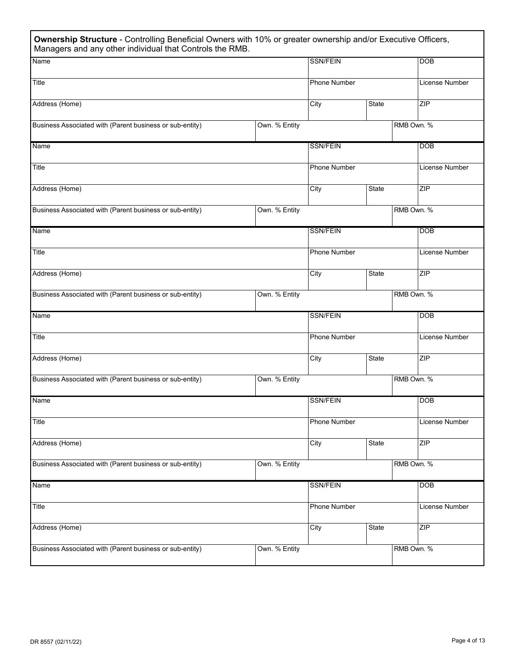| Ownership Structure - Controlling Beneficial Owners with 10% or greater ownership and/or Executive Officers,<br>Managers and any other individual that Controls the RMB. |               |                     |              |            |                |
|--------------------------------------------------------------------------------------------------------------------------------------------------------------------------|---------------|---------------------|--------------|------------|----------------|
| Name                                                                                                                                                                     |               | <b>SSN/FEIN</b>     |              |            | <b>DOB</b>     |
| Title                                                                                                                                                                    |               | <b>Phone Number</b> |              |            | License Number |
| Address (Home)                                                                                                                                                           |               | City                | State        |            | ZIP            |
| Business Associated with (Parent business or sub-entity)                                                                                                                 | Own. % Entity |                     |              | RMB Own. % |                |
| Name                                                                                                                                                                     |               | <b>SSN/FEIN</b>     |              |            | <b>DOB</b>     |
| Title                                                                                                                                                                    |               | Phone Number        |              |            | License Number |
| Address (Home)                                                                                                                                                           |               | City                | State        |            | ZIP            |
| Business Associated with (Parent business or sub-entity)                                                                                                                 | Own. % Entity |                     |              | RMB Own. % |                |
| Name                                                                                                                                                                     |               | <b>SSN/FEIN</b>     |              |            | <b>DOB</b>     |
| Title                                                                                                                                                                    |               | <b>Phone Number</b> |              |            | License Number |
| Address (Home)                                                                                                                                                           |               | City                | State        |            | <b>ZIP</b>     |
| Business Associated with (Parent business or sub-entity)                                                                                                                 | Own. % Entity |                     |              | RMB Own. % |                |
| Name                                                                                                                                                                     |               | <b>SSN/FEIN</b>     |              |            | <b>DOB</b>     |
| Title                                                                                                                                                                    |               | Phone Number        |              |            | License Number |
| Address (Home)                                                                                                                                                           |               | City                | <b>State</b> |            | ZIP            |
| Business Associated with (Parent business or sub-entity)                                                                                                                 | Own. % Entity |                     |              | RMB Own. % |                |
| Name                                                                                                                                                                     |               | <b>SSN/FEIN</b>     |              |            | <b>DOB</b>     |
| Title                                                                                                                                                                    |               | <b>Phone Number</b> |              |            | License Number |
| Address (Home)                                                                                                                                                           |               | City                | State        |            | ZIP            |
| Business Associated with (Parent business or sub-entity)                                                                                                                 | Own. % Entity |                     |              | RMB Own. % |                |
| Name                                                                                                                                                                     |               | <b>SSN/FEIN</b>     |              |            | <b>DOB</b>     |
| Title                                                                                                                                                                    |               | Phone Number        |              |            | License Number |
| Address (Home)                                                                                                                                                           |               | City                | <b>State</b> |            | ZIP            |
| Business Associated with (Parent business or sub-entity)                                                                                                                 | Own. % Entity |                     |              | RMB Own. % |                |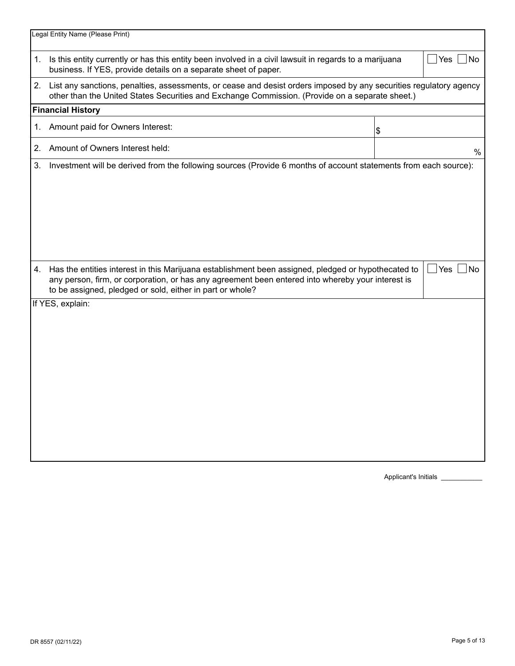|    | Legal Entity Name (Please Print)                                                                                                                                                                                                                                      |    |                  |  |  |
|----|-----------------------------------------------------------------------------------------------------------------------------------------------------------------------------------------------------------------------------------------------------------------------|----|------------------|--|--|
| 1. | Is this entity currently or has this entity been involved in a civil lawsuit in regards to a marijuana<br>Yes  <br>No.<br>business. If YES, provide details on a separate sheet of paper.                                                                             |    |                  |  |  |
|    | 2. List any sanctions, penalties, assessments, or cease and desist orders imposed by any securities regulatory agency<br>other than the United States Securities and Exchange Commission. (Provide on a separate sheet.)                                              |    |                  |  |  |
|    | <b>Financial History</b>                                                                                                                                                                                                                                              |    |                  |  |  |
| 1. | Amount paid for Owners Interest:                                                                                                                                                                                                                                      | \$ |                  |  |  |
| 2. | Amount of Owners Interest held:                                                                                                                                                                                                                                       |    | $\%$             |  |  |
| 3. | Investment will be derived from the following sources (Provide 6 months of account statements from each source):                                                                                                                                                      |    |                  |  |  |
| 4. | Has the entities interest in this Marijuana establishment been assigned, pledged or hypothecated to<br>any person, firm, or corporation, or has any agreement been entered into whereby your interest is<br>to be assigned, pledged or sold, either in part or whole? |    | $\Box$ Yes<br>No |  |  |
|    | If YES, explain:                                                                                                                                                                                                                                                      |    |                  |  |  |

Applicant's Initials **\_\_\_\_\_\_**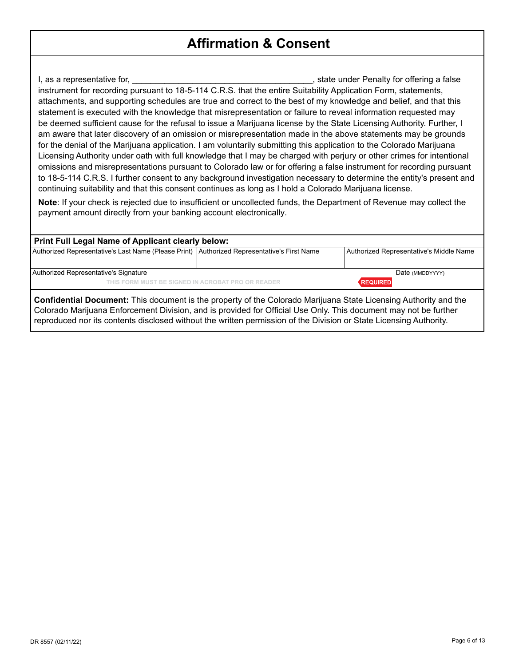# **Affirmation & Consent**

I, as a representative for, the same state of the set of the state under Penalty for offering a false instrument for recording pursuant to 18-5-114 C.R.S. that the entire Suitability Application Form, statements, attachments, and supporting schedules are true and correct to the best of my knowledge and belief, and that this statement is executed with the knowledge that misrepresentation or failure to reveal information requested may be deemed sufficient cause for the refusal to issue a Marijuana license by the State Licensing Authority. Further, I am aware that later discovery of an omission or misrepresentation made in the above statements may be grounds for the denial of the Marijuana application. I am voluntarily submitting this application to the Colorado Marijuana Licensing Authority under oath with full knowledge that I may be charged with perjury or other crimes for intentional omissions and misrepresentations pursuant to Colorado law or for offering a false instrument for recording pursuant to 18-5-114 C.R.S. I further consent to any background investigation necessary to determine the entity's present and continuing suitability and that this consent continues as long as I hold a Colorado Marijuana license.

**Note**: If your check is rejected due to insufficient or uncollected funds, the Department of Revenue may collect the payment amount directly from your banking account electronically.

#### **Print Full Legal Name of Applicant clearly below:**

| Authorized Representative's Last Name (Please Print)   Authorized Representative's First Name |                 | Authorized Representative's Middle Name |
|-----------------------------------------------------------------------------------------------|-----------------|-----------------------------------------|
| Authorized Representative's Signature                                                         |                 | Date (MMDDYYYY)                         |
| THIS FORM MUST BE SIGNED IN ACROBAT PRO OR READER                                             | <b>REQUIRED</b> |                                         |

**Confidential Document:** This document is the property of the Colorado Marijuana State Licensing Authority and the Colorado Marijuana Enforcement Division, and is provided for Official Use Only. This document may not be further reproduced nor its contents disclosed without the written permission of the Division or State Licensing Authority.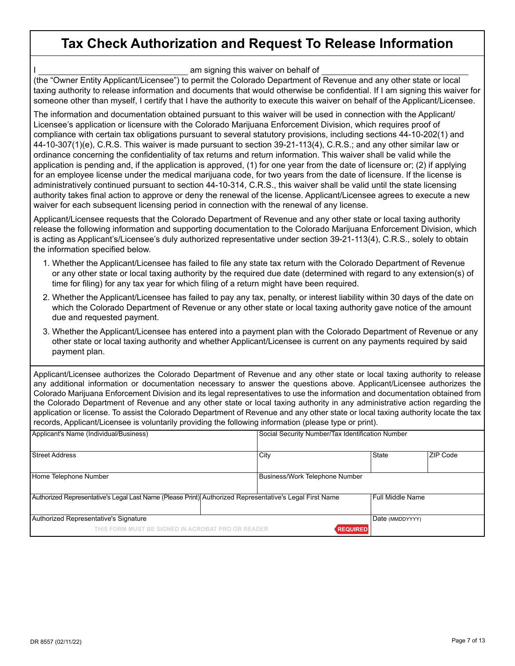# **Tax Check Authorization and Request To Release Information**

am signing this waiver on behalf of

(the "Owner Entity Applicant/Licensee") to permit the Colorado Department of Revenue and any other state or local taxing authority to release information and documents that would otherwise be confidential. If I am signing this waiver for someone other than myself, I certify that I have the authority to execute this waiver on behalf of the Applicant/Licensee.

The information and documentation obtained pursuant to this waiver will be used in connection with the Applicant/ Licensee's application or licensure with the Colorado Marijuana Enforcement Division, which requires proof of compliance with certain tax obligations pursuant to several statutory provisions, including sections 44-10-202(1) and 44-10-307(1)(e), C.R.S. This waiver is made pursuant to section 39-21-113(4), C.R.S.; and any other similar law or ordinance concerning the confidentiality of tax returns and return information. This waiver shall be valid while the application is pending and, if the application is approved, (1) for one year from the date of licensure or; (2) if applying for an employee license under the medical marijuana code, for two years from the date of licensure. If the license is administratively continued pursuant to section 44-10-314, C.R.S., this waiver shall be valid until the state licensing authority takes final action to approve or deny the renewal of the license. Applicant/Licensee agrees to execute a new waiver for each subsequent licensing period in connection with the renewal of any license.

Applicant/Licensee requests that the Colorado Department of Revenue and any other state or local taxing authority release the following information and supporting documentation to the Colorado Marijuana Enforcement Division, which is acting as Applicant's/Licensee's duly authorized representative under section 39-21-113(4), C.R.S., solely to obtain the information specified below.

- 1. Whether the Applicant/Licensee has failed to file any state tax return with the Colorado Department of Revenue or any other state or local taxing authority by the required due date (determined with regard to any extension(s) of time for filing) for any tax year for which filing of a return might have been required.
- 2. Whether the Applicant/Licensee has failed to pay any tax, penalty, or interest liability within 30 days of the date on which the Colorado Department of Revenue or any other state or local taxing authority gave notice of the amount due and requested payment.
- 3. Whether the Applicant/Licensee has entered into a payment plan with the Colorado Department of Revenue or any other state or local taxing authority and whether Applicant/Licensee is current on any payments required by said payment plan.

Applicant/Licensee authorizes the Colorado Department of Revenue and any other state or local taxing authority to release any additional information or documentation necessary to answer the questions above. Applicant/Licensee authorizes the Colorado Marijuana Enforcement Division and its legal representatives to use the information and documentation obtained from the Colorado Department of Revenue and any other state or local taxing authority in any administrative action regarding the application or license. To assist the Colorado Department of Revenue and any other state or local taxing authority locate the tax records, Applicant/Licensee is voluntarily providing the following information (please type or print).

| Applicant's Name (Individual/Business)                                                                  |                                | Social Security Number/Tax Identification Number |          |  |  |
|---------------------------------------------------------------------------------------------------------|--------------------------------|--------------------------------------------------|----------|--|--|
| Street Address                                                                                          | City                           | State                                            | ZIP Code |  |  |
| Home Telephone Number                                                                                   | Business/Work Telephone Number |                                                  |          |  |  |
| Authorized Representative's Legal Last Name (Please Print) Authorized Representative's Legal First Name |                                | l Full Middle Name                               |          |  |  |
| Authorized Representative's Signature                                                                   |                                | Date (MMDDYYYY)                                  |          |  |  |
| THIS FORM MUST BE SIGNED IN ACROBAT PRO OR READER                                                       |                                | <b>REQUIRED</b>                                  |          |  |  |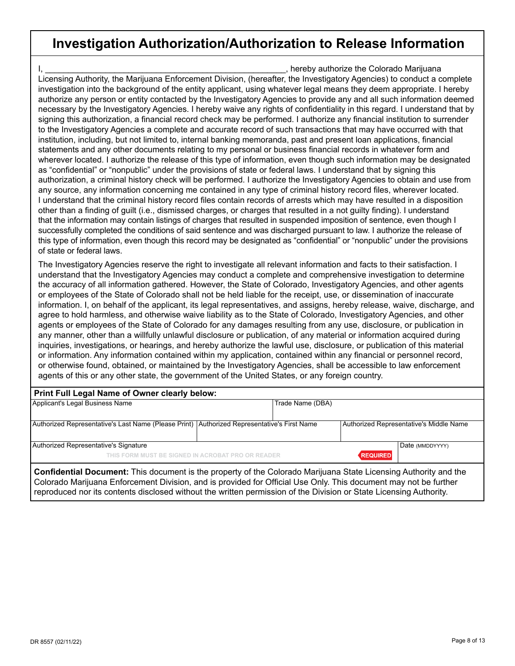## **Investigation Authorization/Authorization to Release Information**

I, \_\_\_\_\_\_\_\_\_\_\_\_\_\_\_\_\_\_\_\_\_\_\_\_\_\_\_\_\_\_\_\_\_\_\_\_\_\_\_\_\_\_\_\_\_\_\_\_\_\_\_\_, hereby authorize the Colorado Marijuana Licensing Authority, the Marijuana Enforcement Division, (hereafter, the Investigatory Agencies) to conduct a complete investigation into the background of the entity applicant, using whatever legal means they deem appropriate. I hereby authorize any person or entity contacted by the Investigatory Agencies to provide any and all such information deemed necessary by the Investigatory Agencies. I hereby waive any rights of confidentiality in this regard. I understand that by signing this authorization, a financial record check may be performed. I authorize any financial institution to surrender to the Investigatory Agencies a complete and accurate record of such transactions that may have occurred with that institution, including, but not limited to, internal banking memoranda, past and present loan applications, financial statements and any other documents relating to my personal or business financial records in whatever form and wherever located. I authorize the release of this type of information, even though such information may be designated as "confidential" or "nonpublic" under the provisions of state or federal laws. I understand that by signing this authorization, a criminal history check will be performed. I authorize the Investigatory Agencies to obtain and use from any source, any information concerning me contained in any type of criminal history record files, wherever located. I understand that the criminal history record files contain records of arrests which may have resulted in a disposition other than a finding of guilt (i.e., dismissed charges, or charges that resulted in a not guilty finding). I understand that the information may contain listings of charges that resulted in suspended imposition of sentence, even though I successfully completed the conditions of said sentence and was discharged pursuant to law. I authorize the release of this type of information, even though this record may be designated as "confidential" or "nonpublic" under the provisions of state or federal laws.

The Investigatory Agencies reserve the right to investigate all relevant information and facts to their satisfaction. I understand that the Investigatory Agencies may conduct a complete and comprehensive investigation to determine the accuracy of all information gathered. However, the State of Colorado, Investigatory Agencies, and other agents or employees of the State of Colorado shall not be held liable for the receipt, use, or dissemination of inaccurate information. I, on behalf of the applicant, its legal representatives, and assigns, hereby release, waive, discharge, and agree to hold harmless, and otherwise waive liability as to the State of Colorado, Investigatory Agencies, and other agents or employees of the State of Colorado for any damages resulting from any use, disclosure, or publication in any manner, other than a willfully unlawful disclosure or publication, of any material or information acquired during inquiries, investigations, or hearings, and hereby authorize the lawful use, disclosure, or publication of this material or information. Any information contained within my application, contained within any financial or personnel record, or otherwise found, obtained, or maintained by the Investigatory Agencies, shall be accessible to law enforcement agents of this or any other state, the government of the United States, or any foreign country.

| Print Full Legal Name of Owner clearly below:                                                                           |  |                  |  |                                         |  |  |
|-------------------------------------------------------------------------------------------------------------------------|--|------------------|--|-----------------------------------------|--|--|
| Applicant's Legal Business Name                                                                                         |  | Trade Name (DBA) |  |                                         |  |  |
|                                                                                                                         |  |                  |  |                                         |  |  |
| Authorized Representative's Last Name (Please Print) Authorized Representative's First Name                             |  |                  |  | Authorized Representative's Middle Name |  |  |
|                                                                                                                         |  |                  |  |                                         |  |  |
| Authorized Representative's Signature<br>Date (MMDDYYYY)                                                                |  |                  |  |                                         |  |  |
| <b>REQUIRED</b><br>THIS FORM MUST BE SIGNED IN ACROBAT PRO OR READER                                                    |  |                  |  |                                         |  |  |
| <b>Confidential Document:</b> This document is the property of the Colorado Marijuana State Licensing Authority and the |  |                  |  |                                         |  |  |

**Confidential Document:** This document is the property of the Colorado Marijuana State Licensing Authority and the Colorado Marijuana Enforcement Division, and is provided for Official Use Only. This document may not be further reproduced nor its contents disclosed without the written permission of the Division or State Licensing Authority.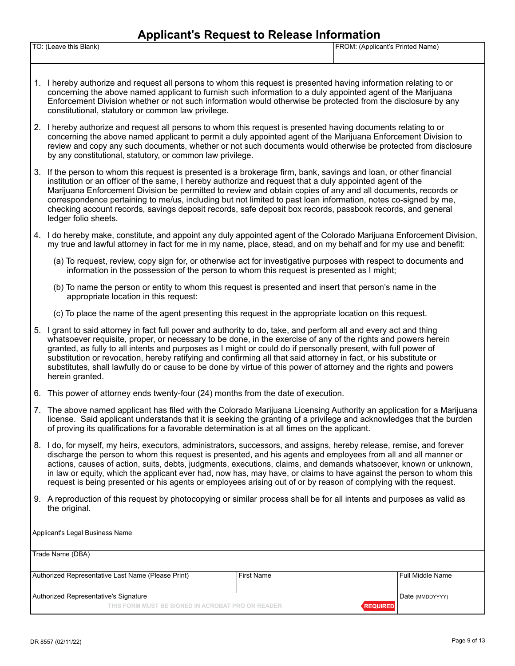#### **Applicant's Request to Release Information**

| TO: (Leave this Blank) | 'FROM:<br><sup>4</sup> (Applicant's Printed Name) |
|------------------------|---------------------------------------------------|
|                        |                                                   |

- 1. I hereby authorize and request all persons to whom this request is presented having information relating to or concerning the above named applicant to furnish such information to a duly appointed agent of the Marijuana Enforcement Division whether or not such information would otherwise be protected from the disclosure by any constitutional, statutory or common law privilege.
- 2. I hereby authorize and request all persons to whom this request is presented having documents relating to or concerning the above named applicant to permit a duly appointed agent of the Marijuana Enforcement Division to review and copy any such documents, whether or not such documents would otherwise be protected from disclosure by any constitutional, statutory, or common law privilege.
- 3. If the person to whom this request is presented is a brokerage firm, bank, savings and loan, or other financial institution or an officer of the same, I hereby authorize and request that a duly appointed agent of the Marijuana Enforcement Division be permitted to review and obtain copies of any and all documents, records or correspondence pertaining to me/us, including but not limited to past loan information, notes co-signed by me, checking account records, savings deposit records, safe deposit box records, passbook records, and general ledger folio sheets.
- 4. I do hereby make, constitute, and appoint any duly appointed agent of the Colorado Marijuana Enforcement Division, my true and lawful attorney in fact for me in my name, place, stead, and on my behalf and for my use and benefit:
	- (a) To request, review, copy sign for, or otherwise act for investigative purposes with respect to documents and information in the possession of the person to whom this request is presented as I might;
	- (b) To name the person or entity to whom this request is presented and insert that person's name in the appropriate location in this request:
	- (c) To place the name of the agent presenting this request in the appropriate location on this request.
- 5. I grant to said attorney in fact full power and authority to do, take, and perform all and every act and thing whatsoever requisite, proper, or necessary to be done, in the exercise of any of the rights and powers herein granted, as fully to all intents and purposes as I might or could do if personally present, with full power of substitution or revocation, hereby ratifying and confirming all that said attorney in fact, or his substitute or substitutes, shall lawfully do or cause to be done by virtue of this power of attorney and the rights and powers herein granted.
- 6. This power of attorney ends twenty-four (24) months from the date of execution.
- 7. The above named applicant has filed with the Colorado Marijuana Licensing Authority an application for a Marijuana license. Said applicant understands that it is seeking the granting of a privilege and acknowledges that the burden of proving its qualifications for a favorable determination is at all times on the applicant.
- 8. I do, for myself, my heirs, executors, administrators, successors, and assigns, hereby release, remise, and forever discharge the person to whom this request is presented, and his agents and employees from all and all manner or actions, causes of action, suits, debts, judgments, executions, claims, and demands whatsoever, known or unknown, in law or equity, which the applicant ever had, now has, may have, or claims to have against the person to whom this request is being presented or his agents or employees arising out of or by reason of complying with the request.
- 9. A reproduction of this request by photocopying or similar process shall be for all intents and purposes as valid as the original.

|                                                                      | Full Middle Name  |  |  |
|----------------------------------------------------------------------|-------------------|--|--|
|                                                                      |                   |  |  |
|                                                                      | Date (MMDDYYYY)   |  |  |
| Authorized Representative's Signature                                |                   |  |  |
| <b>REQUIRED</b><br>THIS FORM MUST BE SIGNED IN ACROBAT PRO OR READER |                   |  |  |
|                                                                      | <b>First Name</b> |  |  |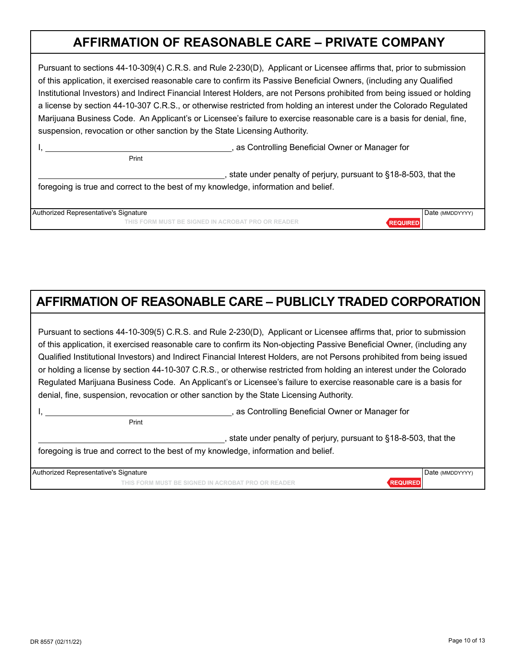## **AFFIRMATION OF REASONABLE CARE – PRIVATE COMPANY**

Pursuant to sections 44-10-309(4) C.R.S. and Rule 2-230(D), Applicant or Licensee affirms that, prior to submission of this application, it exercised reasonable care to confirm its Passive Beneficial Owners, (including any Qualified Institutional Investors) and Indirect Financial Interest Holders, are not Persons prohibited from being issued or holding a license by section 44-10-307 C.R.S., or otherwise restricted from holding an interest under the Colorado Regulated Marijuana Business Code. An Applicant's or Licensee's failure to exercise reasonable care is a basis for denial, fine, suspension, revocation or other sanction by the State Licensing Authority.

I, the controlling Beneficial Owner or Manager for

, state under penalty of perjury, pursuant to §18-8-503, that the foregoing is true and correct to the best of my knowledge, information and belief.

| Authorized Representative's Signature        | I Date (MMDDYYYY) |
|----------------------------------------------|-------------------|
| FORM MUST BE SIGNED IN ACROBAT PRO OR READER |                   |

# **AFFIRMATION OF REASONABLE CARE – PUBLICLY TRADED CORPORATION**

Pursuant to sections 44-10-309(5) C.R.S. and Rule 2-230(D), Applicant or Licensee affirms that, prior to submission of this application, it exercised reasonable care to confirm its Non-objecting Passive Beneficial Owner, (including any Qualified Institutional Investors) and Indirect Financial Interest Holders, are not Persons prohibited from being issued or holding a license by section 44-10-307 C.R.S., or otherwise restricted from holding an interest under the Colorado Regulated Marijuana Business Code. An Applicant's or Licensee's failure to exercise reasonable care is a basis for denial, fine, suspension, revocation or other sanction by the State Licensing Authority.

Print

**Print** Print

I, **All includes the Controlling Beneficial Owner or Manager for**  $\alpha$ , as Controlling Beneficial Owner or Manager for

state under penalty of perjury, pursuant to §18-8-503, that the foregoing is true and correct to the best of my knowledge, information and belief.

Authorized Representative's Signature **Date (MMDDYYYY) Date (MMDDYYYY) Date (MMDDYYYY) THIS FORM MUST BE SIGNED IN ACROBAT PRO OR READER REQUIRED**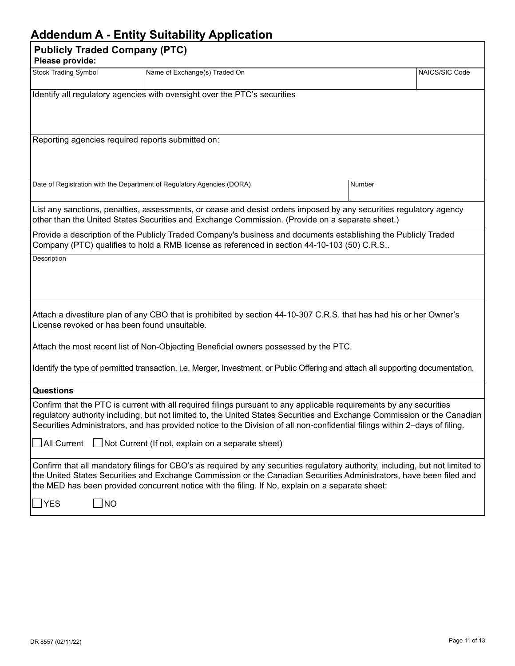### **Addendum A - Entity Suitability Application**

|                                                                                                                                                                                                                                                                                                                                                                                |           | Adduindin A - Linny Udhabinty Application                                                                                                                                                                                                                                                                                                                 |  |        |                |
|--------------------------------------------------------------------------------------------------------------------------------------------------------------------------------------------------------------------------------------------------------------------------------------------------------------------------------------------------------------------------------|-----------|-----------------------------------------------------------------------------------------------------------------------------------------------------------------------------------------------------------------------------------------------------------------------------------------------------------------------------------------------------------|--|--------|----------------|
| <b>Publicly Traded Company (PTC)</b><br>Please provide:                                                                                                                                                                                                                                                                                                                        |           |                                                                                                                                                                                                                                                                                                                                                           |  |        |                |
| <b>Stock Trading Symbol</b>                                                                                                                                                                                                                                                                                                                                                    |           | Name of Exchange(s) Traded On                                                                                                                                                                                                                                                                                                                             |  |        | NAICS/SIC Code |
|                                                                                                                                                                                                                                                                                                                                                                                |           | Identify all regulatory agencies with oversight over the PTC's securities                                                                                                                                                                                                                                                                                 |  |        |                |
|                                                                                                                                                                                                                                                                                                                                                                                |           | Reporting agencies required reports submitted on:                                                                                                                                                                                                                                                                                                         |  |        |                |
|                                                                                                                                                                                                                                                                                                                                                                                |           | Date of Registration with the Department of Regulatory Agencies (DORA)                                                                                                                                                                                                                                                                                    |  | Number |                |
|                                                                                                                                                                                                                                                                                                                                                                                |           | List any sanctions, penalties, assessments, or cease and desist orders imposed by any securities regulatory agency<br>other than the United States Securities and Exchange Commission. (Provide on a separate sheet.)                                                                                                                                     |  |        |                |
| Provide a description of the Publicly Traded Company's business and documents establishing the Publicly Traded<br>Company (PTC) qualifies to hold a RMB license as referenced in section 44-10-103 (50) C.R.S                                                                                                                                                                  |           |                                                                                                                                                                                                                                                                                                                                                           |  |        |                |
| Description                                                                                                                                                                                                                                                                                                                                                                    |           |                                                                                                                                                                                                                                                                                                                                                           |  |        |                |
| Attach a divestiture plan of any CBO that is prohibited by section 44-10-307 C.R.S. that has had his or her Owner's<br>License revoked or has been found unsuitable.                                                                                                                                                                                                           |           |                                                                                                                                                                                                                                                                                                                                                           |  |        |                |
| Attach the most recent list of Non-Objecting Beneficial owners possessed by the PTC.                                                                                                                                                                                                                                                                                           |           |                                                                                                                                                                                                                                                                                                                                                           |  |        |                |
| Identify the type of permitted transaction, i.e. Merger, Investment, or Public Offering and attach all supporting documentation.                                                                                                                                                                                                                                               |           |                                                                                                                                                                                                                                                                                                                                                           |  |        |                |
| <b>Questions</b>                                                                                                                                                                                                                                                                                                                                                               |           |                                                                                                                                                                                                                                                                                                                                                           |  |        |                |
| Confirm that the PTC is current with all required filings pursuant to any applicable requirements by any securities<br>regulatory authority including, but not limited to, the United States Securities and Exchange Commission or the Canadian<br>Securities Administrators, and has provided notice to the Division of all non-confidential filings within 2-days of filing. |           |                                                                                                                                                                                                                                                                                                                                                           |  |        |                |
|                                                                                                                                                                                                                                                                                                                                                                                |           | $\Box$ All Current $\Box$ Not Current (If not, explain on a separate sheet)                                                                                                                                                                                                                                                                               |  |        |                |
|                                                                                                                                                                                                                                                                                                                                                                                |           | Confirm that all mandatory filings for CBO's as required by any securities regulatory authority, including, but not limited to<br>the United States Securities and Exchange Commission or the Canadian Securities Administrators, have been filed and<br>the MED has been provided concurrent notice with the filing. If No, explain on a separate sheet: |  |        |                |
| <b>YES</b>                                                                                                                                                                                                                                                                                                                                                                     | $\Box$ NO |                                                                                                                                                                                                                                                                                                                                                           |  |        |                |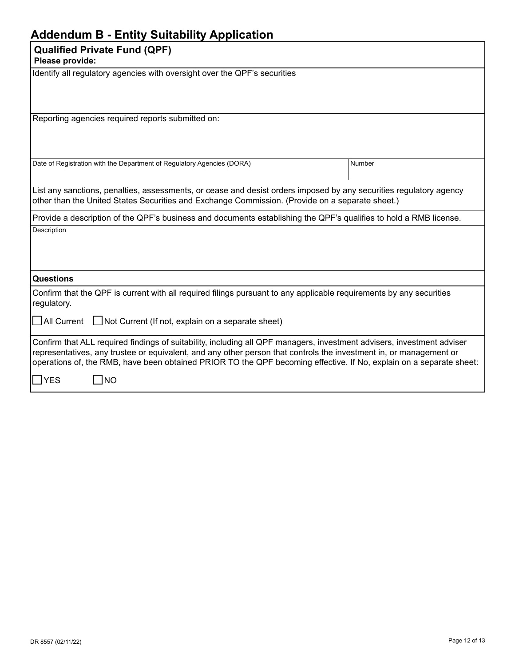### **Addendum B - Entity Suitability Application**

| <b>Qualified Private Fund (QPF)</b><br>Please provide:                                                                                                                                                                                                                                                                                                              |        |  |  |
|---------------------------------------------------------------------------------------------------------------------------------------------------------------------------------------------------------------------------------------------------------------------------------------------------------------------------------------------------------------------|--------|--|--|
| Identify all regulatory agencies with oversight over the QPF's securities                                                                                                                                                                                                                                                                                           |        |  |  |
| Reporting agencies required reports submitted on:                                                                                                                                                                                                                                                                                                                   |        |  |  |
| Date of Registration with the Department of Regulatory Agencies (DORA)                                                                                                                                                                                                                                                                                              | Number |  |  |
| List any sanctions, penalties, assessments, or cease and desist orders imposed by any securities regulatory agency<br>other than the United States Securities and Exchange Commission. (Provide on a separate sheet.)                                                                                                                                               |        |  |  |
| Provide a description of the QPF's business and documents establishing the QPF's qualifies to hold a RMB license.                                                                                                                                                                                                                                                   |        |  |  |
| Description                                                                                                                                                                                                                                                                                                                                                         |        |  |  |
| <b>Questions</b>                                                                                                                                                                                                                                                                                                                                                    |        |  |  |
| Confirm that the QPF is current with all required filings pursuant to any applicable requirements by any securities<br>regulatory.                                                                                                                                                                                                                                  |        |  |  |
| $\Box$ All Current $\Box$ Not Current (If not, explain on a separate sheet)                                                                                                                                                                                                                                                                                         |        |  |  |
| Confirm that ALL required findings of suitability, including all QPF managers, investment advisers, investment adviser<br>representatives, any trustee or equivalent, and any other person that controls the investment in, or management or<br>operations of, the RMB, have been obtained PRIOR TO the QPF becoming effective. If No, explain on a separate sheet: |        |  |  |
| $\Box$ NO<br><b>YES</b>                                                                                                                                                                                                                                                                                                                                             |        |  |  |